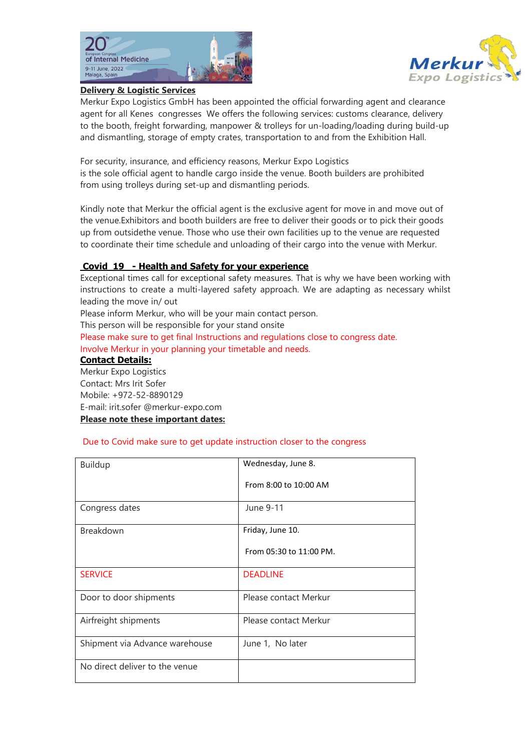



## **Delivery & Logistic Services**

Merkur Expo Logistics GmbH has been appointed the official forwarding agent and clearance agent for all Kenes congresses We offers the following services: customs clearance, delivery to the booth, freight forwarding, manpower & trolleys for un‐loading/loading during build‐up and dismantling, storage of empty crates, transportation to and from the Exhibition Hall.

For security, insurance, and efficiency reasons, Merkur Expo Logistics is the sole official agent to handle cargo inside the venue. Booth builders are prohibited from using trolleys during set-up and dismantling periods.

Kindly note that Merkur the official agent is the exclusive agent for move in and move out of the venue.Exhibitors and booth builders are free to deliver their goods or to pick their goods up from outsidethe venue. Those who use their own facilities up to the venue are requested to coordinate their time schedule and unloading of their cargo into the venue with Merkur.

## **Covid 19 - Health and Safety for your experience**

Exceptional times call for exceptional safety measures. That is why we have been working with instructions to create a multi-layered safety approach. We are adapting as necessary whilst leading the move in/ out

Please inform Merkur, who will be your main contact person.

This person will be responsible for your stand onsite

Please make sure to get final Instructions and regulations close to congress date. Involve Merkur in your planning your timetable and needs.

### **Contact Details:**

Merkur Expo Logistics Contact: Mrs Irit Sofer Mobile: +972-52-8890129 E-mail: [irit.sofer @merkur-expo.com](mailto:Bernd.Blum@merkur-expo.com) **Please note these important dates:** 

### Due to Covid make sure to get update instruction closer to the congress

| <b>Buildup</b>                 | Wednesday, June 8.      |
|--------------------------------|-------------------------|
|                                | From 8:00 to 10:00 AM   |
| Congress dates                 | June 9-11               |
| Breakdown                      | Friday, June 10.        |
|                                | From 05:30 to 11:00 PM. |
| <b>SERVICE</b>                 | <b>DEADLINE</b>         |
| Door to door shipments         | Please contact Merkur   |
| Airfreight shipments           | Please contact Merkur   |
| Shipment via Advance warehouse | June 1, No later        |
| No direct deliver to the venue |                         |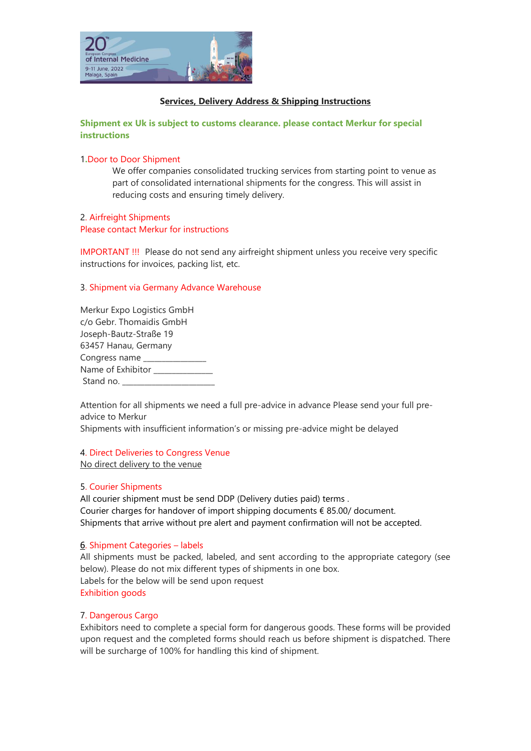

# **Services, Delivery Address & Shipping Instructions**

**Shipment ex Uk is subject to customs clearance. please contact Merkur for special instructions**

## 1**.**Door to Door Shipment

We offer companies consolidated trucking services from starting point to venue as part of consolidated international shipments for the congress. This will assist in reducing costs and ensuring timely delivery.

## 2. Airfreight Shipments Please contact Merkur for instructions

IMPORTANT !!! Please do not send any airfreight shipment unless you receive very specific instructions for invoices, packing list, etc.

## 3. Shipment via Germany Advance Warehouse

| Merkur Expo Logistics GmbH |  |
|----------------------------|--|
| c/o Gebr. Thomaidis GmbH   |  |
| Joseph-Bautz-Straße 19     |  |
| 63457 Hanau, Germany       |  |
| Congress name ____         |  |
| Name of Exhibitor          |  |
| Stand no.                  |  |

Attention for all shipments we need a full pre-advice in advance Please send your full preadvice to Merkur

Shipments with insufficient information's or missing pre-advice might be delayed

## 4. Direct Deliveries to Congress Venue

No direct delivery to the venue

## 5. Courier Shipments

All courier shipment must be send DDP (Delivery duties paid) terms . Courier charges for handover of import shipping documents € 85.00/ document. Shipments that arrive without pre alert and payment confirmation will not be accepted.

### 6. Shipment Categories – labels

All shipments must be packed, labeled, and sent according to the appropriate category (see below). Please do not mix different types of shipments in one box. Labels for the below will be send upon request Exhibition goods

## 7. Dangerous Cargo

Exhibitors need to complete a special form for dangerous goods. These forms will be provided upon request and the completed forms should reach us before shipment is dispatched. There will be surcharge of 100% for handling this kind of shipment.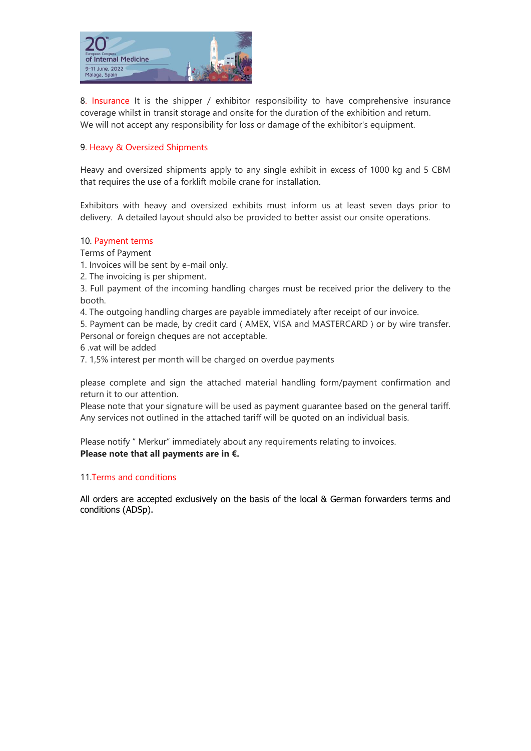

8. Insurance It is the shipper / exhibitor responsibility to have comprehensive insurance coverage whilst in transit storage and onsite for the duration of the exhibition and return. We will not accept any responsibility for loss or damage of the exhibitor's equipment.

# 9. Heavy & Oversized Shipments

Heavy and oversized shipments apply to any single exhibit in excess of 1000 kg and 5 CBM that requires the use of a forklift mobile crane for installation.

Exhibitors with heavy and oversized exhibits must inform us at least seven days prior to delivery. A detailed layout should also be provided to better assist our onsite operations.

## 10. Payment terms

Terms of Payment

- 1. Invoices will be sent by e-mail only.
- 2. The invoicing is per shipment.

3. Full payment of the incoming handling charges must be received prior the delivery to the booth.

4. The outgoing handling charges are payable immediately after receipt of our invoice.

5. Payment can be made, by credit card ( AMEX, VISA and MASTERCARD ) or by wire transfer. Personal or foreign cheques are not acceptable.

- 6 .vat will be added
- 7. 1,5% interest per month will be charged on overdue payments

please complete and sign the attached material handling form/payment confirmation and return it to our attention.

Please note that your signature will be used as payment guarantee based on the general tariff. Any services not outlined in the attached tariff will be quoted on an individual basis.

Please notify " Merkur" immediately about any requirements relating to invoices. **Please note that all payments are in €.**

## 11.Terms and conditions

All orders are accepted exclusively on the basis of the local & German forwarders terms and conditions (ADSp).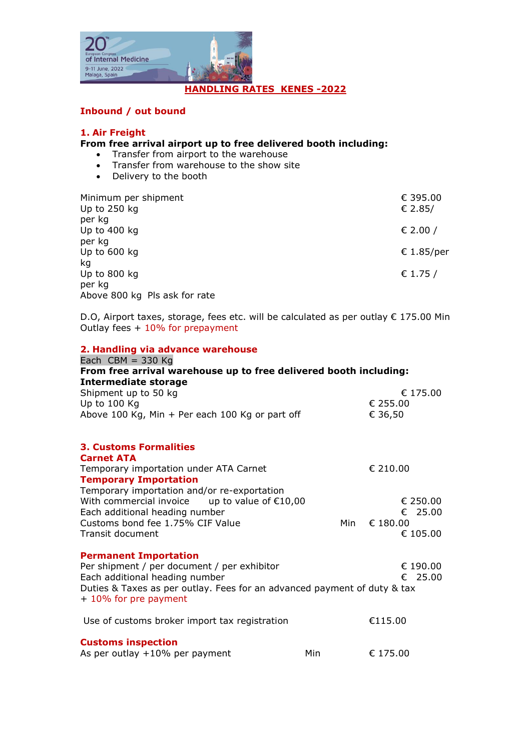

# **Inbound / out bound**

# **1. Air Freight**

# **From free arrival airport up to free delivered booth including:**

- Transfer from airport to the warehouse
- Transfer from warehouse to the show site
- Delivery to the booth

| Minimum per shipment<br>Up to $250$ kg<br>per kg | € 395.00<br>€ 2.85/ |
|--------------------------------------------------|---------------------|
| Up to 400 kg                                     | € 2.00 /            |
| per kg<br>Up to 600 kg<br>kg                     | € 1.85/per          |
| Up to 800 kg<br>per kg                           | € 1.75 /            |
| Above 800 kg Pls ask for rate                    |                     |

D.O, Airport taxes, storage, fees etc. will be calculated as per outlay € 175.00 Min Outlay fees + 10% for prepayment

| 2. Handling via advance warehouse                                                                 |     |          |
|---------------------------------------------------------------------------------------------------|-----|----------|
| Each $CBM = 330$ Kg                                                                               |     |          |
| From free arrival warehouse up to free delivered booth including:                                 |     |          |
| <b>Intermediate storage</b>                                                                       |     |          |
| Shipment up to 50 kg                                                                              |     | € 175.00 |
| Up to 100 Kg                                                                                      |     | € 255.00 |
| Above 100 Kg, Min + Per each 100 Kg or part off                                                   |     | € 36,50  |
| <b>3. Customs Formalities</b>                                                                     |     |          |
| <b>Carnet ATA</b>                                                                                 |     |          |
| Temporary importation under ATA Carnet                                                            |     | € 210.00 |
| <b>Temporary Importation</b>                                                                      |     |          |
| Temporary importation and/or re-exportation                                                       |     |          |
| With commercial invoice up to value of $£10,00$                                                   |     | € 250.00 |
| Each additional heading number                                                                    |     | € 25.00  |
| Customs bond fee 1.75% CIF Value                                                                  | Min | € 180.00 |
| <b>Transit document</b>                                                                           |     | € 105.00 |
| <b>Permanent Importation</b>                                                                      |     |          |
| Per shipment / per document / per exhibitor                                                       |     | € 190.00 |
| Each additional heading number                                                                    |     | € 25.00  |
| Duties & Taxes as per outlay. Fees for an advanced payment of duty & tax<br>+ 10% for pre payment |     |          |
| Use of customs broker import tax registration                                                     |     | €115.00  |
| <b>Customs inspection</b>                                                                         |     |          |
| As per outlay $+10\%$ per payment                                                                 | Min | € 175.00 |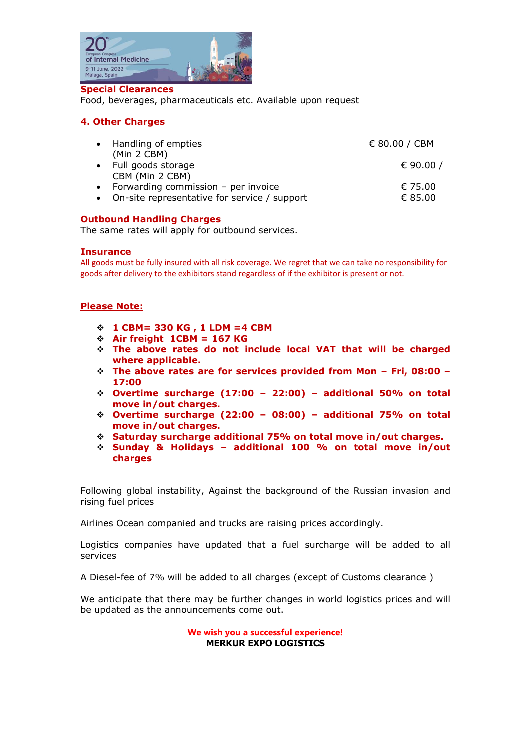

#### **Special Clearances**

Food, beverages, pharmaceuticals etc. Available upon request

## **4. Other Charges**

| • Handling of empties<br>(Min 2 CBM)                                                      | € 80.00 / CBM      |
|-------------------------------------------------------------------------------------------|--------------------|
| • Full goods storage<br>CBM (Min 2 CBM)                                                   | € 90.00 /          |
| • Forwarding commission $-$ per invoice<br>• On-site representative for service / support | € 75.00<br>€ 85.00 |

## **Outbound Handling Charges**

The same rates will apply for outbound services.

### **Insurance**

All goods must be fully insured with all risk coverage. We regret that we can take no responsibility for goods after delivery to the exhibitors stand regardless of if the exhibitor is present or not.

#### **Please Note:**

- ❖ **1 CBM= 330 KG , 1 LDM =4 CBM**
- ❖ **Air freight 1CBM = 167 KG**
- ❖ **The above rates do not include local VAT that will be charged where applicable.**
- ❖ **The above rates are for services provided from Mon – Fri, 08:00 – 17:00**
- ❖ **Overtime surcharge (17:00 – 22:00) – additional 50% on total move in/out charges.**
- ❖ **Overtime surcharge (22:00 – 08:00) – additional 75% on total move in/out charges.**
- ❖ **Saturday surcharge additional 75% on total move in/out charges.**
- ❖ **Sunday & Holidays – additional 100 % on total move in/out charges**

Following global instability, Against the background of the Russian invasion and rising fuel prices

Airlines Ocean companied and trucks are raising prices accordingly.

Logistics companies have updated that a fuel surcharge will be added to all services

A Diesel-fee of 7% will be added to all charges (except of Customs clearance )

We anticipate that there may be further changes in world logistics prices and will be updated as the announcements come out.

> **We wish you a successful experience! MERKUR EXPO LOGISTICS**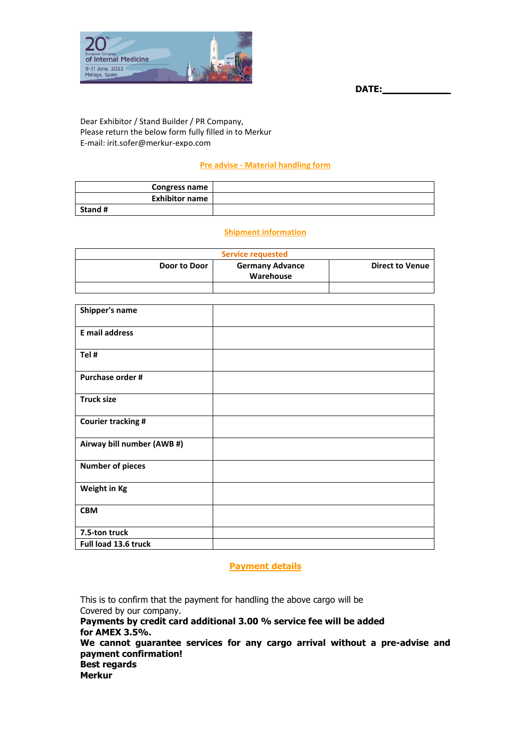



Dear Exhibitor / Stand Builder / PR Company, Please return the below form fully filled in to Merkur E-mail: irit.sofer@merkur-expo.com

## **Pre advise - Material handling form**

| <b>Congress name</b>  |  |
|-----------------------|--|
| <b>Exhibitor name</b> |  |
| Stand #               |  |

## **Shipment information**

| Service requested |                                     |                        |
|-------------------|-------------------------------------|------------------------|
| Door to Door      | <b>Germany Advance</b><br>Warehouse | <b>Direct to Venue</b> |
|                   |                                     |                        |

| Shipper's name             |  |
|----------------------------|--|
| <b>E</b> mail address      |  |
| Tel #                      |  |
| Purchase order #           |  |
| <b>Truck size</b>          |  |
| <b>Courier tracking #</b>  |  |
| Airway bill number (AWB #) |  |
| <b>Number of pieces</b>    |  |
| Weight in Kg               |  |
| <b>CBM</b>                 |  |
| 7.5-ton truck              |  |
| Full load 13.6 truck       |  |

## **Payment details**

This is to confirm that the payment for handling the above cargo will be Covered by our company. **Payments by credit card additional 3.00 % service fee will be added for AMEX 3.5%. We cannot guarantee services for any cargo arrival without a pre-advise and payment confirmation! Best regards Merkur**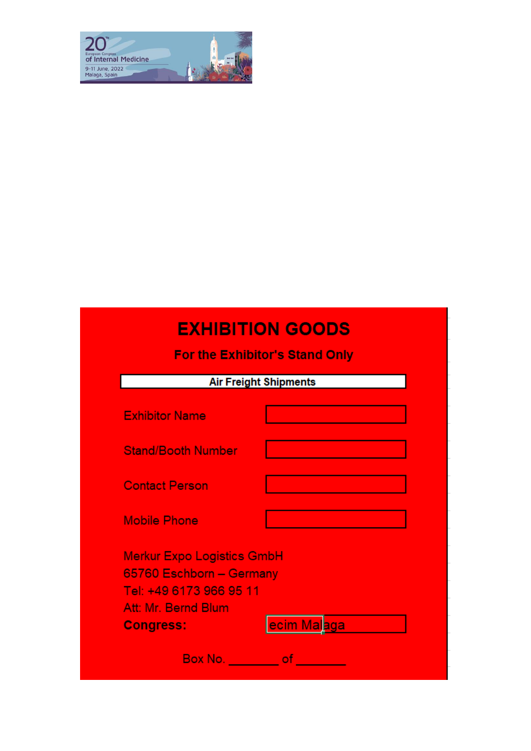

# **EXHIBITION GOODS**

For the Exhibitor's Stand Only

|                                                                                                                                                    | <b>Air Freight Shipments</b> |
|----------------------------------------------------------------------------------------------------------------------------------------------------|------------------------------|
| <b>Exhibitor Name</b>                                                                                                                              |                              |
| <b>Stand/Booth Number</b>                                                                                                                          |                              |
| <b>Contact Person</b>                                                                                                                              |                              |
| <b>Mobile Phone</b>                                                                                                                                |                              |
| <b>Merkur Expo Logistics GmbH</b><br>65760 Eschborn - Germany<br>Tel: +49 6173 966 95 11<br>Att: Mr. Bernd Blum<br>ecim Malaga<br><b>Congress:</b> |                              |
| Box No. <b>Example</b>                                                                                                                             | of                           |